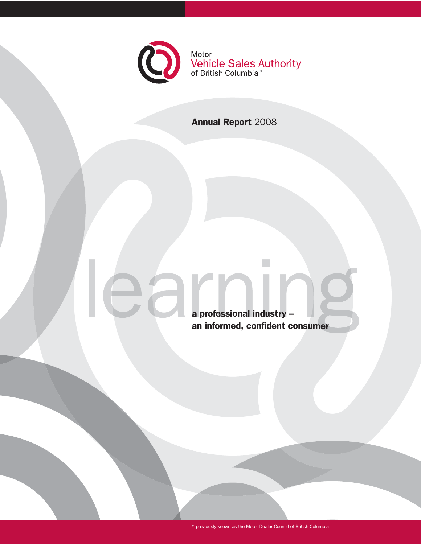

# Annual Report 2008

a professional industry – an informed, confident consumer

 $\bigcap$ 

 $\mathcal{L}_{\mathcal{A}}$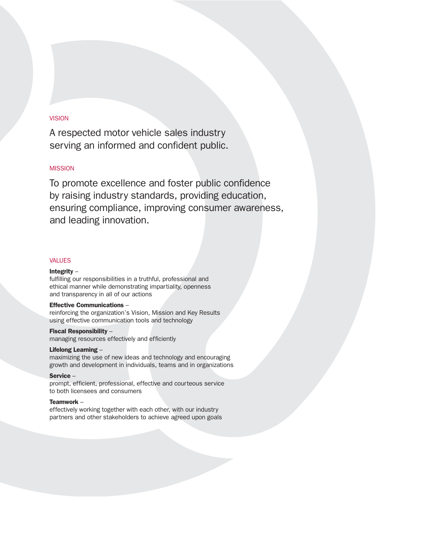# **VISION**

A respected motor vehicle sales industry serving an informed and confident public.

# **MISSION**

To promote excellence and foster public confidence by raising industry standards, providing education, ensuring compliance, improving consumer awareness, and leading innovation.

# VALUES

## Integrity –

fulfilling our responsibilities in a truthful, professional and ethical manner while demonstrating impartiality, openness and transparency in all of our actions

# Effective Communications –

reinforcing the organization's Vision, Mission and Key Results using effective communication tools and technology

# Fiscal Responsibility –

managing resources effectively and efficiently

## Lifelong Learning –

maximizing the use of new ideas and technology and encouraging growth and development in individuals, teams and in organizations

#### Service –

prompt, efficient, professional, effective and courteous service to both licensees and consumers

## Teamwork –

effectively working together with each other, with our industry partners and other stakeholders to achieve agreed upon goals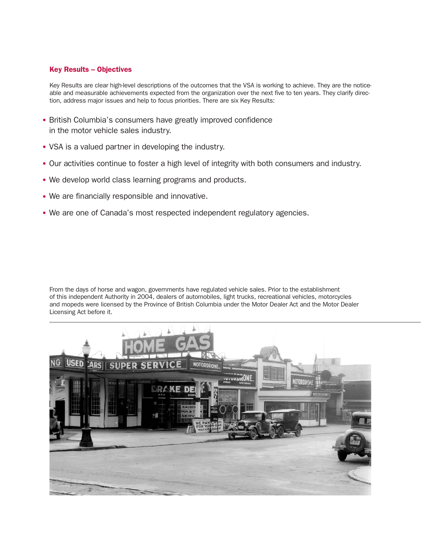# Key Results – Objectives

Key Results are clear high-level descriptions of the outcomes that the VSA is working to achieve. They are the noticeable and measurable achievements expected from the organization over the next five to ten years. They clarify direction, address major issues and help to focus priorities. There are six Key Results:

- British Columbia's consumers have greatly improved confidence in the motor vehicle sales industry.
- VSA is a valued partner in developing the industry.
- Our activities continue to foster a high level of integrity with both consumers and industry.
- We develop world class learning programs and products.
- We are financially responsible and innovative.
- We are one of Canada's most respected independent regulatory agencies.

From the days of horse and wagon, governments have regulated vehicle sales. Prior to the establishment of this independent Authority in 2004, dealers of automobiles, light trucks, recreational vehicles, motorcycles and mopeds were licensed by the Province of British Columbia under the Motor Dealer Act and the Motor Dealer Licensing Act before it.

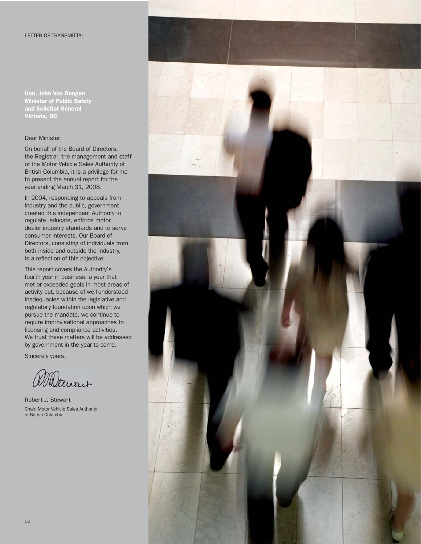# LETTER OF TRANSMITTAL

Hon. John Van Dongen Minister of Public Safety and Solicitor General Victoria, BC

# Dear Minister:

On behalf of the Board of Directors, the Registrar, the management and staff of the Motor Vehicle Sales Authority of British Columbia, it is a privilege for me to present the annual report for the year ending March 31, 2008.

In 2004, responding to appeals from industry and the public, government created this independent Authority to regulate, educate, enforce motor dealer industry standards and to serve consumer interests. Our Board of Directors, consisting of individuals from both inside and outside the industry, is a reflection of this objective.

This report covers the Authority's fourth year in business, a year that met or exceeded goals in most areas of activity but, because of well-understood inadequacies within the legislative and regulatory foundation upon which we pursue the mandate, we continue to require improvisational approaches to licensing and compliance activities. We trust these matters will be addressed by government in the year to come.

Sincerely yours,

Waltwait

Robert J. Stewart Chair, Motor Vehicle Sales Authority of British Columbia

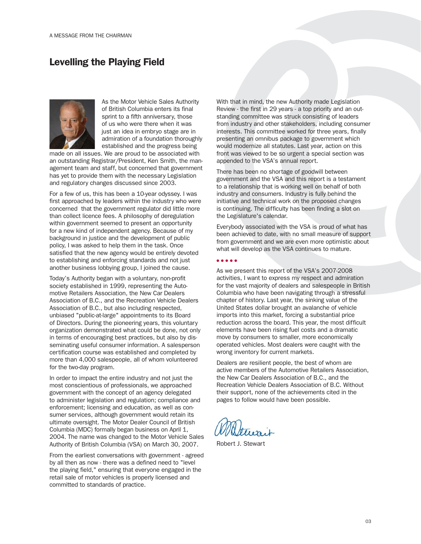# Levelling the Playing Field



As the Motor Vehicle Sales Authority of British Columbia enters its final sprint to a fifth anniversary, those of us who were there when it was just an idea in embryo stage are in admiration of a foundation thoroughly established and the progress being

made on all issues. We are proud to be associated with an outstanding Registrar/President, Ken Smith, the management team and staff, but concerned that government has yet to provide them with the necessary Legislation and regulatory changes discussed since 2003.

For a few of us, this has been a 10-year odyssey. I was first approached by leaders within the industry who were concerned that the government regulator did little more than collect licence fees. A philosophy of deregulation within government seemed to present an opportunity for a new kind of independent agency. Because of my background in justice and the development of public policy, I was asked to help them in the task. Once satisfied that the new agency would be entirely devoted to establishing and enforcing standards and not just another business lobbying group, I joined the cause.

Today's Authority began with a voluntary, non-profit society established in 1999, representing the Automotive Retailers Association, the New Car Dealers Association of B.C., and the Recreation Vehicle Dealers Association of B.C., but also including respected, unbiased "public-at-large" appointments to its Board of Directors. During the pioneering years, this voluntary organization demonstrated what could be done, not only in terms of encouraging best practices, but also by disseminating useful consumer information. A salesperson certification course was established and completed by more than 4,000 salespeople, all of whom volunteered for the two-day program.

In order to impact the entire industry and not just the most conscientious of professionals, we approached government with the concept of an agency delegated to administer legislation and regulation; compliance and enforcement; licensing and education, as well as consumer services, although government would retain its ultimate oversight. The Motor Dealer Council of British Columbia (MDC) formally began business on April 1, 2004. The name was changed to the Motor Vehicle Sales Authority of British Columbia (VSA) on March 30, 2007.

From the earliest conversations with government - agreed by all then as now - there was a defined need to "level the playing field," ensuring that everyone engaged in the retail sale of motor vehicles is properly licensed and committed to standards of practice.

With that in mind, the new Authority made Legislation Review - the first in 29 years - a top priority and an outstanding committee was struck consisting of leaders from industry and other stakeholders, including consumer interests. This committee worked for three years, finally presenting an omnibus package to government which would modernize all statutes. Last year, action on this front was viewed to be so urgent a special section was appended to the VSA's annual report.

There has been no shortage of goodwill between government and the VSA and this report is a testament to a relationship that is working well on behalf of both industry and consumers. Industry is fully behind the initiative and technical work on the proposed changes is continuing. The difficulty has been finding a slot on the Legislature's calendar.

Everybody associated with the VSA is proud of what has been achieved to date, with no small measure of support from government and we are even more optimistic about what will develop as the VSA continues to mature.

● ● ● ● ●

As we present this report of the VSA's 2007-2008 activities, I want to express my respect and admiration for the vast majority of dealers and salespeople in British Columbia who have been navigating through a stressful chapter of history. Last year, the sinking value of the United States dollar brought an avalanche of vehicle imports into this market, forcing a substantial price reduction across the board. This year, the most difficult elements have been rising fuel costs and a dramatic move by consumers to smaller, more economically operated vehicles. Most dealers were caught with the wrong inventory for current markets.

Dealers are resilient people, the best of whom are active members of the Automotive Retailers Association, the New Car Dealers Association of B.C., and the Recreation Vehicle Dealers Association of B.C. Without their support, none of the achievements cited in the pages to follow would have been possible.

Robert J. Stewart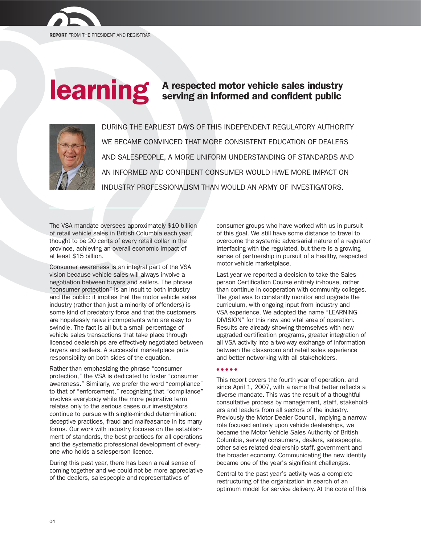

# **Carning** A respected motor vehicle sales industry<br>serving an informed and confident public



DURING THE EARLIEST DAYS OF THIS INDEPENDENT REGULATORY AUTHORITY WE BECAME CONVINCED THAT MORE CONSISTENT EDUCATION OF DEALERS AND SALESPEOPLE, A MORE UNIFORM UNDERSTANDING OF STANDARDS AND AN INFORMED AND CONFIDENT CONSUMER WOULD HAVE MORE IMPACT ON INDUSTRY PROFESSIONALISM THAN WOULD AN ARMY OF INVESTIGATORS.

The VSA mandate oversees approximately \$10 billion of retail vehicle sales in British Columbia each year, thought to be 20 cents of every retail dollar in the province, achieving an overall economic impact of at least \$15 billion.

Consumer awareness is an integral part of the VSA vision because vehicle sales will always involve a negotiation between buyers and sellers. The phrase "consumer protection" is an insult to both industry and the public: it implies that the motor vehicle sales industry (rather than just a minority of offenders) is some kind of predatory force and that the customers are hopelessly naive incompetents who are easy to swindle. The fact is all but a small percentage of vehicle sales transactions that take place through licensed dealerships are effectively negotiated between buyers and sellers. A successful marketplace puts responsibility on both sides of the equation.

Rather than emphasizing the phrase "consumer protection," the VSA is dedicated to foster "consumer awareness." Similarly, we prefer the word "compliance" to that of "enforcement," recognizing that "compliance" involves everybody while the more pejorative term relates only to the serious cases our investigators continue to pursue with single-minded determination: deceptive practices, fraud and malfeasance in its many forms. Our work with industry focuses on the establishment of standards, the best practices for all operations and the systematic professional development of everyone who holds a salesperson licence.

During this past year, there has been a real sense of coming together and we could not be more appreciative of the dealers, salespeople and representatives of

consumer groups who have worked with us in pursuit of this goal. We still have some distance to travel to overcome the systemic adversarial nature of a regulator interfacing with the regulated, but there is a growing sense of partnership in pursuit of a healthy, respected motor vehicle marketplace.

Last year we reported a decision to take the Salesperson Certification Course entirely in-house, rather than continue in cooperation with community colleges. The goal was to constantly monitor and upgrade the curriculum, with ongoing input from industry and VSA experience. We adopted the name "LEARNING DIVISION" for this new and vital area of operation. Results are already showing themselves with new upgraded certification programs, greater integration of all VSA activity into a two-way exchange of information between the classroom and retail sales experience and better networking with all stakeholders.

#### ● ● ● ● ●

This report covers the fourth year of operation, and since April 1, 2007, with a name that better reflects a diverse mandate. This was the result of a thoughtful consultative process by management, staff, stakeholders and leaders from all sectors of the industry. Previously the Motor Dealer Council, implying a narrow role focused entirely upon vehicle dealerships, we became the Motor Vehicle Sales Authority of British Columbia, serving consumers, dealers, salespeople, other sales-related dealership staff, government and the broader economy. Communicating the new identity became one of the year's significant challenges.

Central to the past year's activity was a complete restructuring of the organization in search of an optimum model for service delivery. At the core of this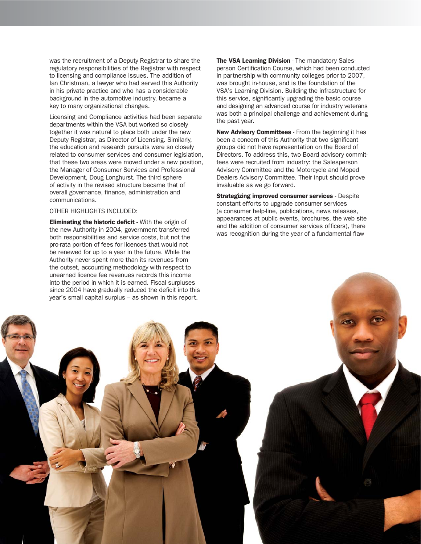was the recruitment of a Deputy Registrar to share the regulatory responsibilities of the Registrar with respect to licensing and compliance issues. The addition of Ian Christman, a lawyer who had served this Authority in his private practice and who has a considerable background in the automotive industry, became a key to many organizational changes.

Licensing and Compliance activities had been separate departments within the VSA but worked so closely together it was natural to place both under the new Deputy Registrar, as Director of Licensing. Similarly, the education and research pursuits were so closely related to consumer services and consumer legislation, that these two areas were moved under a new position, the Manager of Consumer Services and Professional Development, Doug Longhurst. The third sphere of activity in the revised structure became that of overall governance, finance, administration and communications.

# OTHER HIGHLIGHTS INCLUDED:

Eliminating the historic deficit - With the origin of the new Authority in 2004, government transferred both responsibilities and service costs, but not the pro-rata portion of fees for licences that would not be renewed for up to a year in the future. While the Authority never spent more than its revenues from the outset, accounting methodology with respect to unearned licence fee revenues records this income into the period in which it is earned. Fiscal surpluses since 2004 have gradually reduced the deficit into this year's small capital surplus – as shown in this report.

The VSA Learning Division - The mandatory Salesperson Certification Course, which had been conducted in partnership with community colleges prior to 2007, was brought in-house, and is the foundation of the VSA's Learning Division. Building the infrastructure for this service, significantly upgrading the basic course and designing an advanced course for industry veterans was both a principal challenge and achievement during the past year.

New Advisory Committees - From the beginning it has been a concern of this Authority that two significant groups did not have representation on the Board of Directors. To address this, two Board advisory committees were recruited from industry: the Salesperson Advisory Committee and the Motorcycle and Moped Dealers Advisory Committee. Their input should prove invaluable as we go forward.

**Strategizing improved consumer services - Despite** constant efforts to upgrade consumer services (a consumer help-line, publications, news releases, appearances at public events, brochures, the web site and the addition of consumer services officers), there was recognition during the year of a fundamental flaw

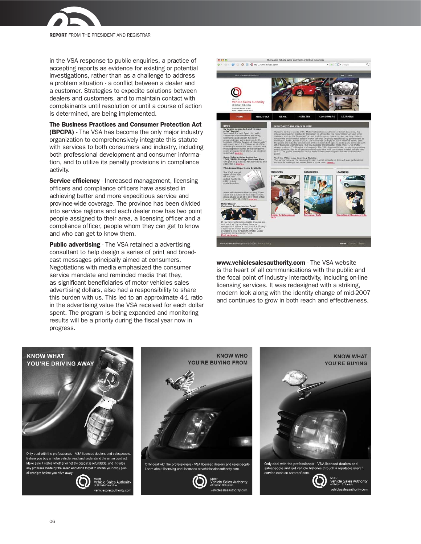

REPORT FROM THE PRESIDENT AND REGISTRAR

in the VSA response to public enquiries, a practice of accepting reports as evidence for existing or potential investigations, rather than as a challenge to address a problem situation - a conflict between a dealer and a customer. Strategies to expedite solutions between dealers and customers, and to maintain contact with complainants until resolution or until a course of action is determined, are being implemented.

The Business Practices and Consumer Protection Act (BPCPA) - The VSA has become the only major industry organization to comprehensively integrate this statute with services to both consumers and industry, including both professional development and consumer information, and to utilize its penalty provisions in compliance activity.

Service efficiency - Increased management, licensing officers and compliance officers have assisted in achieving better and more expeditious service and province-wide coverage. The province has been divided into service regions and each dealer now has two point people assigned to their area, a licensing officer and a compliance officer, people whom they can get to know and who can get to know them.

**Public advertising** - The VSA retained a advertising consultant to help design a series of print and broadcast messages principally aimed at consumers. Negotiations with media emphasized the consumer service mandate and reminded media that they, as significant beneficiaries of motor vehicles sales advertising dollars, also had a responsibility to share this burden with us. This led to an approximate 4-1 ratio in the advertising value the VSA received for each dollar spent. The program is being expanded and monitoring results will be a priority during the fiscal year now in progress.



www.vehiclesalesauthority.com - The VSA website is the heart of all communications with the public and the focal point of industry interactivity, including on-line licensing services. It was redesigned with a striking, modern look along with the identity change of mid-2007 and continues to grow in both reach and effectiveness.

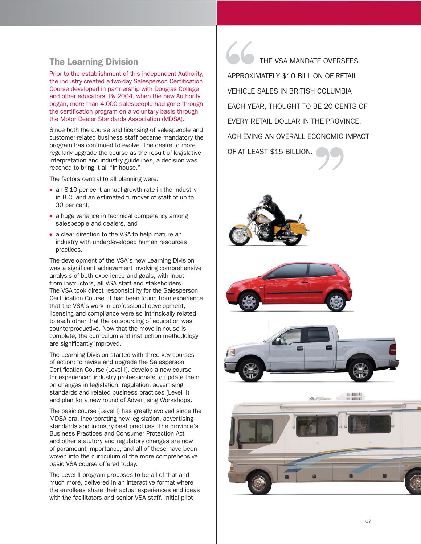# The Learning Division

Prior to the establishment of this independent Authority, the industry created a two-day Salesperson Certification Course developed in partnership with Douglas College and other educators. By 2004, when the new Authority began, more than 4,000 salespeople had gone through the certification program on a voluntary basis through the Motor Dealer Standards Association (MDSA).

Since both the course and licensing of salespeople and customer-related business staff became mandatory the program has continued to evolve. The desire to more regularly upgrade the course as the result of legislative interpretation and industry guidelines, a decision was reached to bring it all "in-house."

The factors central to all planning were:

- an 8-10 per cent annual growth rate in the industry in B.C. and an estimated turnover of staff of up to 30 per cent,
- a huge variance in technical competency among salespeople and dealers, and
- a clear direction to the VSA to help mature an industry with underdeveloped human resources practices.

The development of the VSA's new Learning Division was a significant achievement involving comprehensive analysis of both experience and goals, with input from instructors, all VSA staff and stakeholders. The VSA took direct responsibility for the Salesperson Certification Course. It had been found from experience that the VSA's work in professional development, licensing and compliance were so intrinsically related to each other that the outsourcing of education was counterproductive. Now that the move in-house is complete, the curriculum and instruction methodology are significantly improved.

The Learning Division started with three key courses of action: to revise and upgrade the Salesperson Certification Course (Level I), develop a new course for experienced industry professionals to update them on changes in legislation, regulation, advertising standards and related business practices (Level II) and plan for a new round of Advertising Workshops.

The basic course (Level I) has greatly evolved since the MDSA era, incorporating new legislation, advertising standards and industry best practices. The province's Business Practices and Consumer Protection Act and other statutory and regulatory changes are now of paramount importance, and all of these have been woven into the curriculum of the more comprehensive basic VSA course offered today.

The Level II program proposes to be all of that and much more, delivered in an interactive format where the enrollees share their actual experiences and ideas with the facilitators and senior VSA staff. Initial pilot

THE VSA MANDATE OVERSEES APPROXIMATELY \$10 BILLION OF RETAIL VEHICLE SALES IN BRITISH COLUMBIA EACH YEAR, THOUGHT TO BE 20 CENTS OF EVERY RETAIL DOLLAR IN THE PROVINCE, ACHIEVING AN OVERALL ECONOMIC IMPACT OF AT LEAST \$15 BILLION. APPROXII<br>
VEHICLE<br>
EACH YE ''







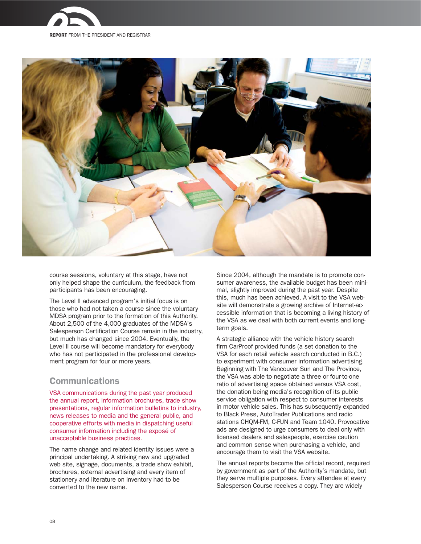





course sessions, voluntary at this stage, have not only helped shape the curriculum, the feedback from participants has been encouraging.

The Level II advanced program's initial focus is on those who had not taken a course since the voluntary MDSA program prior to the formation of this Authority. About 2,500 of the 4,000 graduates of the MDSA's Salesperson Certification Course remain in the industry, but much has changed since 2004. Eventually, the Level II course will become mandatory for everybody who has not participated in the professional development program for four or more years.

# Communications

VSA communications during the past year produced the annual report, information brochures, trade show presentations, regular information bulletins to industry, news releases to media and the general public, and cooperative efforts with media in dispatching useful consumer information including the exposé of unacceptable business practices.

The name change and related identity issues were a principal undertaking. A striking new and upgraded web site, signage, documents, a trade show exhibit, brochures, external advertising and every item of stationery and literature on inventory had to be converted to the new name.

Since 2004, although the mandate is to promote consumer awareness, the available budget has been minimal, slightly improved during the past year. Despite this, much has been achieved. A visit to the VSA website will demonstrate a growing archive of Internet-accessible information that is becoming a living history of the VSA as we deal with both current events and longterm goals.

A strategic alliance with the vehicle history search firm CarProof provided funds (a set donation to the VSA for each retail vehicle search conducted in B.C.) to experiment with consumer information advertising. Beginning with The Vancouver Sun and The Province, the VSA was able to negotiate a three or four-to-one ratio of advertising space obtained versus VSA cost, the donation being media's recognition of its public service obligation with respect to consumer interests in motor vehicle sales. This has subsequently expanded to Black Press, AutoTrader Publications and radio stations CHQM-FM, C-FUN and Team 1040. Provocative ads are designed to urge consumers to deal only with licensed dealers and salespeople, exercise caution and common sense when purchasing a vehicle, and encourage them to visit the VSA website.

The annual reports become the official record, required by government as part of the Authority's mandate, but they serve multiple purposes. Every attendee at every Salesperson Course receives a copy. They are widely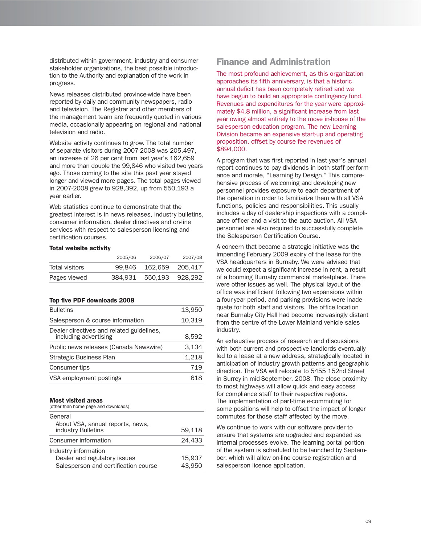distributed within government, industry and consumer stakeholder organizations, the best possible introduction to the Authority and explanation of the work in progress.

News releases distributed province-wide have been reported by daily and community newspapers, radio and television. The Registrar and other members of the management team are frequently quoted in various media, occasionally appearing on regional and national television and radio.

Website activity continues to grow. The total number of separate visitors during 2007-2008 was 205,497, an increase of 26 per cent from last year's 162,659 and more than double the 99,846 who visited two years ago. Those coming to the site this past year stayed longer and viewed more pages. The total pages viewed in 2007-2008 grew to 928,392, up from 550,193 a year earlier.

Web statistics continue to demonstrate that the greatest interest is in news releases, industry bulletins, consumer information, dealer directives and on-line services with respect to salesperson licensing and certification courses.

# Total website activity

|                | 2005/06 | 2006/07                 | 2007/08 |
|----------------|---------|-------------------------|---------|
| Total visitors |         | 99.846 162.659 205.417  |         |
| Pages viewed   |         | 384.931 550.193 928.292 |         |

#### Top five PDF downloads 2008

| 13,950 |
|--------|
| 10,319 |
| 8,592  |
| 3.134  |
| 1,218  |
| 719    |
| 618    |
|        |

#### Most visited areas

| (other than home page and downloads)                                                         |                  |
|----------------------------------------------------------------------------------------------|------------------|
| General<br>About VSA, annual reports, news,                                                  |                  |
| industry Bulletins                                                                           | 59,118           |
| Consumer information                                                                         | 24.433           |
| Industry information<br>Dealer and regulatory issues<br>Salesperson and certification course | 15,937<br>43.950 |
|                                                                                              |                  |

# Finance and Administration

The most profound achievement, as this organization approaches its fifth anniversary, is that a historic annual deficit has been completely retired and we have begun to build an appropriate contingency fund. Revenues and expenditures for the year were approximately \$4.8 million, a significant increase from last year owing almost entirely to the move in-house of the salesperson education program. The new Learning Division became an expensive start-up and operating proposition, offset by course fee revenues of \$894,000.

A program that was first reported in last year's annual report continues to pay dividends in both staff performance and morale, "Learning by Design." This comprehensive process of welcoming and developing new personnel provides exposure to each department of the operation in order to familiarize them with all VSA functions, policies and responsibilities. This usually includes a day of dealership inspections with a compliance officer and a visit to the auto auction. All VSA personnel are also required to successfully complete the Salesperson Certification Course.

A concern that became a strategic initiative was the impending February 2009 expiry of the lease for the VSA headquarters in Burnaby. We were advised that we could expect a significant increase in rent, a result of a booming Burnaby commercial marketplace. There were other issues as well. The physical layout of the office was inefficient following two expansions within a four-year period, and parking provisions were inadequate for both staff and visitors. The office location near Burnaby City Hall had become increasingly distant from the centre of the Lower Mainland vehicle sales industry.

An exhaustive process of research and discussions with both current and prospective landlords eventually led to a lease at a new address, strategically located in anticipation of industry growth patterns and geographic direction. The VSA will relocate to 5455 152nd Street in Surrey in mid-September, 2008. The close proximity to most highways will allow quick and easy access for compliance staff to their respective regions. The implementation of part-time e-commuting for some positions will help to offset the impact of longer commutes for those staff affected by the move.

We continue to work with our software provider to ensure that systems are upgraded and expanded as internal processes evolve. The learning portal portion of the system is scheduled to be launched by September, which will allow on-line course registration and salesperson licence application.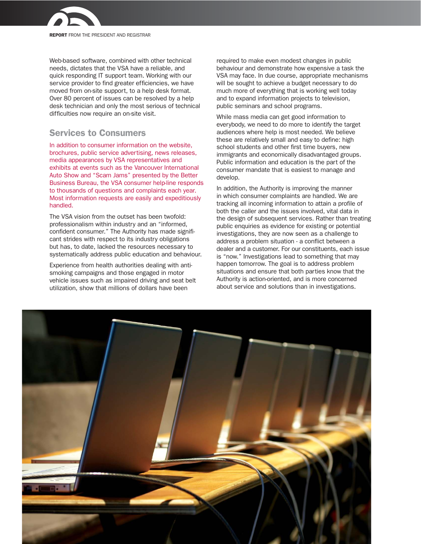

REPORT FROM THE PRESIDENT AND REGISTRAR

Web-based software, combined with other technical needs, dictates that the VSA have a reliable, and quick responding IT support team. Working with our service provider to find greater efficiencies, we have moved from on-site support, to a help desk format. Over 80 percent of issues can be resolved by a help desk technician and only the most serious of technical difficulties now require an on-site visit.

# Services to Consumers

In addition to consumer information on the website, brochures, public service advertising, news releases, media appearances by VSA representatives and exhibits at events such as the Vancouver International Auto Show and "Scam Jams" presented by the Better Business Bureau, the VSA consumer help-line responds to thousands of questions and complaints each year. Most information requests are easily and expeditiously handled.

The VSA vision from the outset has been twofold: professionalism within industry and an "informed, confident consumer." The Authority has made significant strides with respect to its industry obligations but has, to date, lacked the resources necessary to systematically address public education and behaviour.

Experience from health authorities dealing with antismoking campaigns and those engaged in motor vehicle issues such as impaired driving and seat belt utilization, show that millions of dollars have been

required to make even modest changes in public behaviour and demonstrate how expensive a task the VSA may face. In due course, appropriate mechanisms will be sought to achieve a budget necessary to do much more of everything that is working well today and to expand information projects to television, public seminars and school programs.

While mass media can get good information to everybody, we need to do more to identify the target audiences where help is most needed. We believe these are relatively small and easy to define: high school students and other first time buyers, new immigrants and economically disadvantaged groups. Public information and education is the part of the consumer mandate that is easiest to manage and develop.

In addition, the Authority is improving the manner in which consumer complaints are handled. We are tracking all incoming information to attain a profile of both the caller and the issues involved, vital data in the design of subsequent services. Rather than treating public enquiries as evidence for existing or potential investigations, they are now seen as a challenge to address a problem situation - a conflict between a dealer and a customer. For our constituents, each issue is "now." Investigations lead to something that may happen tomorrow. The goal is to address problem situations and ensure that both parties know that the Authority is action-oriented, and is more concerned about service and solutions than in investigations.

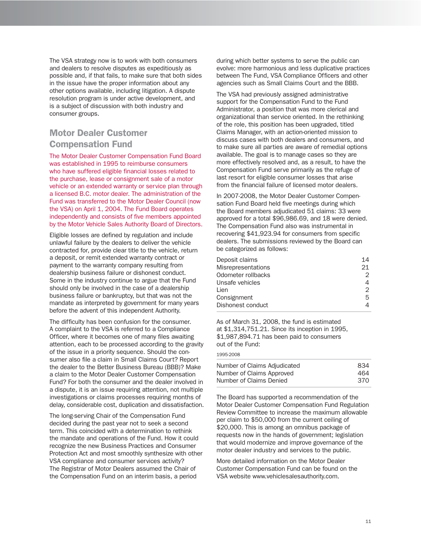The VSA strategy now is to work with both consumers and dealers to resolve disputes as expeditiously as possible and, if that fails, to make sure that both sides in the issue have the proper information about any other options available, including litigation. A dispute resolution program is under active development, and is a subject of discussion with both industry and consumer groups.

# Motor Dealer Customer Compensation Fund

The Motor Dealer Customer Compensation Fund Board was established in 1995 to reimburse consumers who have suffered eligible financial losses related to the purchase, lease or consignment sale of a motor vehicle or an extended warranty or service plan through a licensed B.C. motor dealer. The administration of the Fund was transferred to the Motor Dealer Council (now the VSA) on April 1, 2004. The Fund Board operates independently and consists of five members appointed by the Motor Vehicle Sales Authority Board of Directors.

Eligible losses are defined by regulation and include unlawful failure by the dealers to deliver the vehicle contracted for, provide clear title to the vehicle, return a deposit, or remit extended warranty contract or payment to the warranty company resulting from dealership business failure or dishonest conduct. Some in the industry continue to argue that the Fund should only be involved in the case of a dealership business failure or bankruptcy, but that was not the mandate as interpreted by government for many years before the advent of this independent Authority.

The difficulty has been confusion for the consumer. A complaint to the VSA is referred to a Compliance Officer, where it becomes one of many files awaiting attention, each to be processed according to the gravity of the issue in a priority sequence. Should the consumer also file a claim in Small Claims Court? Report the dealer to the Better Business Bureau (BBB)? Make a claim to the Motor Dealer Customer Compensation Fund? For both the consumer and the dealer involved in a dispute, it is an issue requiring attention, not multiple investigations or claims processes requiring months of delay, considerable cost, duplication and dissatisfaction.

The long-serving Chair of the Compensation Fund decided during the past year not to seek a second term. This coincided with a determination to rethink the mandate and operations of the Fund. How it could recognize the new Business Practices and Consumer Protection Act and most smoothly synthesize with other VSA compliance and consumer services activity? The Registrar of Motor Dealers assumed the Chair of the Compensation Fund on an interim basis, a period

during which better systems to serve the public can evolve: more harmonious and less duplicative practices between The Fund, VSA Compliance Officers and other agencies such as Small Claims Court and the BBB.

The VSA had previously assigned administrative support for the Compensation Fund to the Fund Administrator, a position that was more clerical and organizational than service oriented. In the rethinking of the role, this position has been upgraded, titled Claims Manager, with an action-oriented mission to discuss cases with both dealers and consumers, and to make sure all parties are aware of remedial options available. The goal is to manage cases so they are more effectively resolved and, as a result, to have the Compensation Fund serve primarily as the refuge of last resort for eligible consumer losses that arise from the financial failure of licensed motor dealers.

In 2007-2008, the Motor Dealer Customer Compensation Fund Board held five meetings during which the Board members adjudicated 51 claims: 33 were approved for a total \$96,986.69, and 18 were denied. The Compensation Fund also was instrumental in recovering \$41,923.94 for consumers from specific dealers. The submissions reviewed by the Board can be categorized as follows:

| Deposit claims            | 14 |
|---------------------------|----|
| <b>Misrepresentations</b> | 21 |
| Odometer rollbacks        | 2  |
| Unsafe vehicles           | 4  |
| Lien                      | 2  |
| Consignment               | 5  |
| Dishonest conduct         | 4  |
|                           |    |

As of March 31, 2008, the fund is estimated at \$1,314,751.21. Since its inception in 1995, \$1,987,894.71 has been paid to consumers out of the Fund:

#### 1995-2008

| Number of Claims Adjudicated | 834 |
|------------------------------|-----|
| Number of Claims Approved    | 464 |
| Number of Claims Denied      | 370 |

The Board has supported a recommendation of the Motor Dealer Customer Compensation Fund Regulation Review Committee to increase the maximum allowable per claim to \$50,000 from the current ceiling of \$20,000. This is among an omnibus package of requests now in the hands of government; legislation that would modernize and improve governance of the motor dealer industry and services to the public.

More detailed information on the Motor Dealer Customer Compensation Fund can be found on the VSA website www.vehiclesalesauthority.com.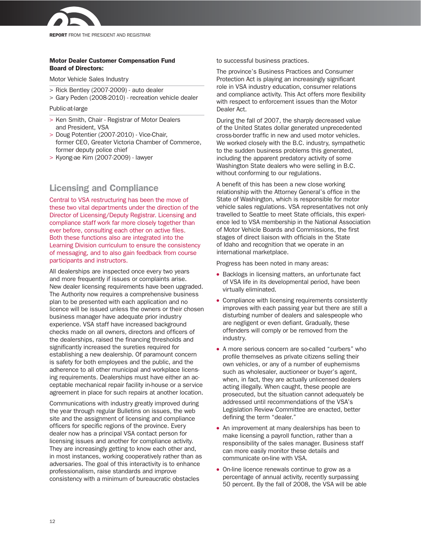

# Motor Dealer Customer Compensation Fund Board of Directors:

Motor Vehicle Sales Industry

- > Rick Bentley (2007-2009) auto dealer
- > Gary Peden (2008-2010) recreation vehicle dealer

## Public-at-large

- > Ken Smith, Chair Registrar of Motor Dealers and President, VSA
- > Doug Potentier (2007-2010) Vice-Chair, former CEO, Greater Victoria Chamber of Commerce, former deputy police chief
- > Kyong-ae Kim (2007-2009) lawyer

# Licensing and Compliance

Central to VSA restructuring has been the move of these two vital departments under the direction of the Director of Licensing/Deputy Registrar. Licensing and compliance staff work far more closely together than ever before, consulting each other on active files. Both these functions also are integrated into the Learning Division curriculum to ensure the consistency of messaging, and to also gain feedback from course participants and instructors.

All dealerships are inspected once every two years and more frequently if issues or complaints arise. New dealer licensing requirements have been upgraded. The Authority now requires a comprehensive business plan to be presented with each application and no licence will be issued unless the owners or their chosen business manager have adequate prior industry experience. VSA staff have increased background checks made on all owners, directors and officers of the dealerships, raised the financing thresholds and significantly increased the sureties required for establishing a new dealership. Of paramount concern is safety for both employees and the public, and the adherence to all other municipal and workplace licensing requirements. Dealerships must have either an acceptable mechanical repair facility in-house or a service agreement in place for such repairs at another location.

Communications with industry greatly improved during the year through regular Bulletins on issues, the web site and the assignment of licensing and compliance officers for specific regions of the province. Every dealer now has a principal VSA contact person for licensing issues and another for compliance activity. They are increasingly getting to know each other and, in most instances, working cooperatively rather than as adversaries. The goal of this interactivity is to enhance professionalism, raise standards and improve consistency with a minimum of bureaucratic obstacles

to successful business practices.

The province's Business Practices and Consumer Protection Act is playing an increasingly significant role in VSA industry education, consumer relations and compliance activity. This Act offers more flexibility with respect to enforcement issues than the Motor Dealer Act.

During the fall of 2007, the sharply decreased value of the United States dollar generated unprecedented cross-border traffic in new and used motor vehicles. We worked closely with the B.C. industry, sympathetic to the sudden business problems this generated, including the apparent predatory activity of some Washington State dealers who were selling in B.C. without conforming to our regulations.

A benefit of this has been a new close working relationship with the Attorney General's office in the State of Washington, which is responsible for motor vehicle sales regulations. VSA representatives not only travelled to Seattle to meet State officials, this experience led to VSA membership in the National Association of Motor Vehicle Boards and Commissions, the first stages of direct liaison with officials in the State of Idaho and recognition that we operate in an international marketplace.

Progress has been noted in many areas:

- Backlogs in licensing matters, an unfortunate fact of VSA life in its developmental period, have been virtually eliminated.
- Compliance with licensing requirements consistently improves with each passing year but there are still a disturbing number of dealers and salespeople who are negligent or even defiant. Gradually, these offenders will comply or be removed from the industry.
- A more serious concern are so-called "curbers" who profile themselves as private citizens selling their own vehicles, or any of a number of euphemisms such as wholesaler, auctioneer or buyer's agent, when, in fact, they are actually unlicensed dealers acting illegally. When caught, these people are prosecuted, but the situation cannot adequately be addressed until recommendations of the VSA's Legislation Review Committee are enacted, better defining the term "dealer."
- An improvement at many dealerships has been to make licensing a payroll function, rather than a responsibility of the sales manager. Business staff can more easily monitor these details and communicate on-line with VSA.
- On-line licence renewals continue to grow as a percentage of annual activity, recently surpassing 50 percent. By the fall of 2008, the VSA will be able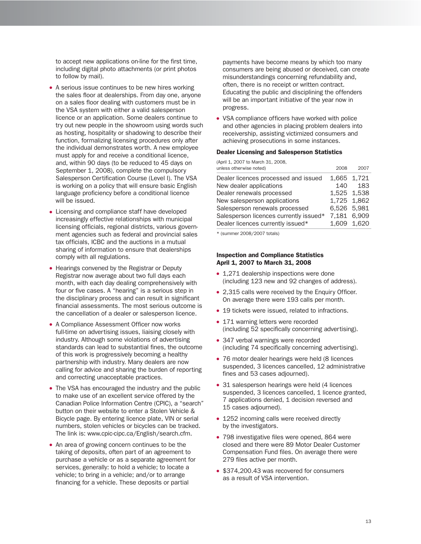to accept new applications on-line for the first time, including digital photo attachments (or print photos to follow by mail).

- A serious issue continues to be new hires working the sales floor at dealerships. From day one, anyone on a sales floor dealing with customers must be in the VSA system with either a valid salesperson licence or an application. Some dealers continue to try out new people in the showroom using words such as hosting, hospitality or shadowing to describe their function, formalizing licensing procedures only after the individual demonstrates worth. A new employee must apply for and receive a conditional licence, and, within 90 days (to be reduced to 45 days on September 1, 2008), complete the compulsory Salesperson Certification Course (Level I). The VSA is working on a policy that will ensure basic English language proficiency before a conditional licence will be issued.
- Licensing and compliance staff have developed increasingly effective relationships with municipal licensing officials, regional districts, various government agencies such as federal and provincial sales tax officials, ICBC and the auctions in a mutual sharing of information to ensure that dealerships comply with all regulations.
- Hearings convened by the Registrar or Deputy Registrar now average about two full days each month, with each day dealing comprehensively with four or five cases. A "hearing" is a serious step in the disciplinary process and can result in significant financial assessments. The most serious outcome is the cancellation of a dealer or salesperson licence.
- A Compliance Assessment Officer now works full-time on advertising issues, liaising closely with industry. Although some violations of advertising standards can lead to substantial fines, the outcome of this work is progressively becoming a healthy partnership with industry. Many dealers are now calling for advice and sharing the burden of reporting and correcting unacceptable practices.
- The VSA has encouraged the industry and the public to make use of an excellent service offered by the Canadian Police Information Centre (CPIC), a "search" button on their website to enter a Stolen Vehicle & Bicycle page. By entering licence plate, VIN or serial numbers, stolen vehicles or bicycles can be tracked. The link is: www.cpic-cipc.ca/English/search.cfm.
- An area of growing concern continues to be the taking of deposits, often part of an agreement to purchase a vehicle or as a separate agreement for services, generally: to hold a vehicle; to locate a vehicle; to bring in a vehicle; and/or to arrange financing for a vehicle. These deposits or partial

payments have become means by which too many consumers are being abused or deceived, can create misunderstandings concerning refundability and, often, there is no receipt or written contract. Educating the public and disciplining the offenders will be an important initiative of the year now in progress.

• VSA compliance officers have worked with police and other agencies in placing problem dealers into receivership, assisting victimized consumers and achieving prosecutions in some instances.

# Dealer Licensing and Salesperson Statistics

(April 1, 2007 to March 31, 2008,

| unless otherwise noted)                | 2008        | 2007 |
|----------------------------------------|-------------|------|
| Dealer licences processed and issued   | 1,665 1,721 |      |
| New dealer applications                | 140         | 183  |
| Dealer renewals processed              | 1,525 1,538 |      |
| New salesperson applications           | 1,725 1,862 |      |
| Salesperson renewals processed         | 6,526 5,981 |      |
| Salesperson licences currently issued* | 7,181 6,909 |      |
| Dealer licences currently issued*      | 1,609 1,620 |      |

\* (summer 2008/2007 totals)

# Inspection and Compliance Statistics April 1, 2007 to March 31, 2008

- 1,271 dealership inspections were done (including 123 new and 92 changes of address).
- 2,315 calls were received by the Enquiry Officer. On average there were 193 calls per month.
- 19 tickets were issued, related to infractions.
- 171 warning letters were recorded (including 52 specifically concerning advertising).
- 347 verbal warnings were recorded (including 74 specifically concerning advertising).
- 76 motor dealer hearings were held (8 licences suspended, 3 licences cancelled, 12 administrative fines and 53 cases adjourned).
- 31 salesperson hearings were held (4 licences suspended, 3 licences cancelled, 1 licence granted, 7 applications denied, 1 decision reversed and 15 cases adjourned).
- 1252 incoming calls were received directly by the investigators.
- 798 investigative files were opened, 864 were closed and there were 89 Motor Dealer Customer Compensation Fund files. On average there were 279 files active per month.
- \$374,200.43 was recovered for consumers as a result of VSA intervention.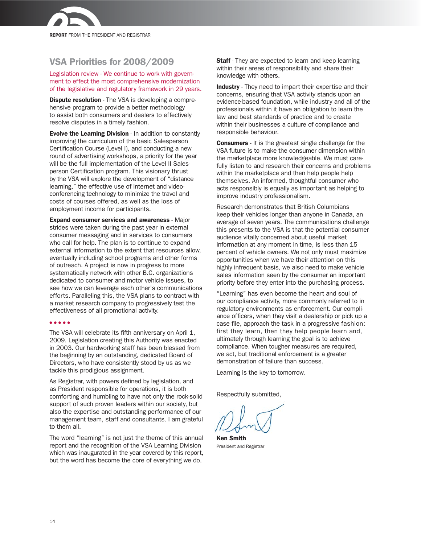

# VSA Priorities for 2008/2009

Legislation review - We continue to work with government to effect the most comprehensive modernization of the legislative and regulatory framework in 29 years.

**Dispute resolution** - The VSA is developing a comprehensive program to provide a better methodology to assist both consumers and dealers to effectively resolve disputes in a timely fashion.

Evolve the Learning Division - In addition to constantly improving the curriculum of the basic Salesperson Certification Course (Level I), and conducting a new round of advertising workshops, a priority for the year will be the full implementation of the Level II Salesperson Certification program. This visionary thrust by the VSA will explore the development of "distance learning," the effective use of Internet and videoconferencing technology to minimize the travel and costs of courses offered, as well as the loss of employment income for participants.

Expand consumer services and awareness - Major strides were taken during the past year in external consumer messaging and in services to consumers who call for help. The plan is to continue to expand external information to the extent that resources allow, eventually including school programs and other forms of outreach. A project is now in progress to more systematically network with other B.C. organizations dedicated to consumer and motor vehicle issues, to see how we can leverage each other's communications efforts. Paralleling this, the VSA plans to contract with a market research company to progressively test the effectiveness of all promotional activity.

## ● ● ● ● ●

The VSA will celebrate its fifth anniversary on April 1, 2009. Legislation creating this Authority was enacted in 2003. Our hardworking staff has been blessed from the beginning by an outstanding, dedicated Board of Directors, who have consistently stood by us as we tackle this prodigious assignment.

As Registrar, with powers defined by legislation, and as President responsible for operations, it is both comforting and humbling to have not only the rock-solid support of such proven leaders within our society, but also the expertise and outstanding performance of our management team, staff and consultants. I am grateful to them all.

The word "learning" is not just the theme of this annual report and the recognition of the VSA Learning Division which was inaugurated in the year covered by this report, but the word has become the core of everything we do.

**Staff** - They are expected to learn and keep learning within their areas of responsibility and share their knowledge with others.

Industry - They need to impart their expertise and their concerns, ensuring that VSA activity stands upon an evidence-based foundation, while industry and all of the professionals within it have an obligation to learn the law and best standards of practice and to create within their businesses a culture of compliance and responsible behaviour.

Consumers - It is the greatest single challenge for the VSA future is to make the consumer dimension within the marketplace more knowledgeable. We must carefully listen to and research their concerns and problems within the marketplace and then help people help themselves. An informed, thoughtful consumer who acts responsibly is equally as important as helping to improve industry professionalism.

Research demonstrates that British Columbians keep their vehicles longer than anyone in Canada, an average of seven years. The communications challenge this presents to the VSA is that the potential consumer audience vitally concerned about useful market information at any moment in time, is less than 15 percent of vehicle owners. We not only must maximize opportunities when we have their attention on this highly infrequent basis, we also need to make vehicle sales information seen by the consumer an important priority before they enter into the purchasing process.

"Learning" has even become the heart and soul of our compliance activity, more commonly referred to in regulatory environments as enforcement. Our compliance officers, when they visit a dealership or pick up a case file, approach the task in a progressive fashion: first they learn, then they help people learn and, ultimately through learning the goal is to achieve compliance. When tougher measures are required, we act, but traditional enforcement is a greater demonstration of failure than success.

Learning is the key to tomorrow.

Respectfully submitted,

Ken Smith President and Registrar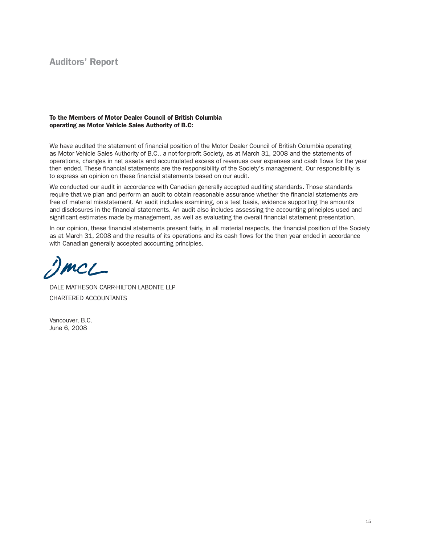# Auditors' Report

# To the Members of Motor Dealer Council of British Columbia operating as Motor Vehicle Sales Authority of B.C:

We have audited the statement of financial position of the Motor Dealer Council of British Columbia operating as Motor Vehicle Sales Authority of B.C., a not-for-profit Society, as at March 31, 2008 and the statements of operations, changes in net assets and accumulated excess of revenues over expenses and cash flows for the year then ended. These financial statements are the responsibility of the Society's management. Our responsibility is to express an opinion on these financial statements based on our audit.

We conducted our audit in accordance with Canadian generally accepted auditing standards. Those standards require that we plan and perform an audit to obtain reasonable assurance whether the financial statements are free of material misstatement. An audit includes examining, on a test basis, evidence supporting the amounts and disclosures in the financial statements. An audit also includes assessing the accounting principles used and significant estimates made by management, as well as evaluating the overall financial statement presentation.

In our opinion, these financial statements present fairly, in all material respects, the financial position of the Society as at March 31, 2008 and the results of its operations and its cash flows for the then year ended in accordance with Canadian generally accepted accounting principles.

 $MC$ 

DALE MATHESON CARR-HILTON LABONTE LLP CHARTERED ACCOUNTANTS

Vancouver, B.C. June 6, 2008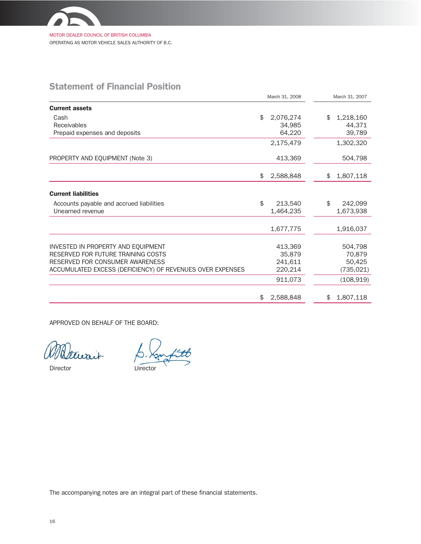

# Statement of Financial Position

| March 31, 2008                                            |    | March 31, 2007 |                 |
|-----------------------------------------------------------|----|----------------|-----------------|
| <b>Current assets</b>                                     |    |                |                 |
| Cash                                                      | \$ | 2,076,274      | \$<br>1,218,160 |
| Receivables                                               |    | 34.985         | 44,371          |
| Prepaid expenses and deposits                             |    | 64,220         | 39,789          |
|                                                           |    | 2,175,479      | 1,302,320       |
| PROPERTY AND EQUIPMENT (Note 3)                           |    | 413,369        | 504,798         |
|                                                           | \$ | 2,588,848      | \$<br>1,807,118 |
| <b>Current liabilities</b>                                |    |                |                 |
| Accounts payable and accrued liabilities                  | \$ | 213,540        | \$<br>242,099   |
| Unearned revenue                                          |    | 1,464,235      | 1,673,938       |
|                                                           |    | 1,677,775      | 1,916,037       |
| INVESTED IN PROPERTY AND EQUIPMENT                        |    | 413,369        | 504,798         |
| RESERVED FOR FUTURE TRAINING COSTS                        |    | 35,879         | 70,879          |
| RESERVED FOR CONSUMER AWARENESS                           |    | 241,611        | 50,425          |
| ACCUMULATED EXCESS (DEFICIENCY) OF REVENUES OVER EXPENSES |    | 220,214        | (735, 021)      |
|                                                           |    | 911,073        | (108, 919)      |
|                                                           | \$ | 2,588,848      | \$<br>1,807,118 |

APPROVED ON BEHALF OF THE BOARD:

Director Director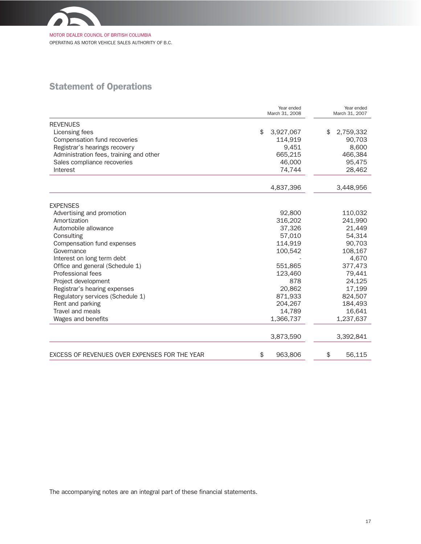

OPERATING AS MOTOR VEHICLE SALES AUTHORITY OF B.C.

# Statement of Operations

|                                               | Year ended<br>March 31, 2008 |           | Year ended<br>March 31, 2007 |           |
|-----------------------------------------------|------------------------------|-----------|------------------------------|-----------|
| <b>REVENUES</b>                               |                              |           |                              |           |
| Licensing fees                                | \$                           | 3,927,067 | \$                           | 2,759,332 |
| Compensation fund recoveries                  |                              | 114,919   |                              | 90,703    |
| Registrar's hearings recovery                 |                              | 9,451     |                              | 8,600     |
| Administration fees, training and other       |                              | 665,215   |                              | 466,384   |
| Sales compliance recoveries                   |                              | 46,000    |                              | 95,475    |
| Interest                                      |                              | 74,744    |                              | 28,462    |
|                                               |                              | 4,837,396 |                              | 3,448,956 |
| <b>EXPENSES</b>                               |                              |           |                              |           |
| Advertising and promotion                     |                              | 92,800    |                              | 110,032   |
| Amortization                                  |                              | 316,202   |                              | 241,990   |
| Automobile allowance                          |                              | 37,326    |                              | 21,449    |
| Consulting                                    |                              | 57,010    |                              | 54,314    |
| Compensation fund expenses                    |                              | 114,919   |                              | 90,703    |
| Governance                                    |                              | 100,542   |                              | 108,167   |
| Interest on long term debt                    |                              |           |                              | 4,670     |
| Office and general (Schedule 1)               |                              | 551,865   |                              | 377,473   |
| Professional fees                             |                              | 123,460   |                              | 79,441    |
| Project development                           |                              | 878       |                              | 24,125    |
| Registrar's hearing expenses                  |                              | 20,862    |                              | 17,199    |
| Regulatory services (Schedule 1)              |                              | 871,933   |                              | 824,507   |
| Rent and parking                              |                              | 204,267   |                              | 184,493   |
| Travel and meals                              |                              | 14,789    |                              | 16,641    |
| Wages and benefits                            |                              | 1,366,737 |                              | 1,237,637 |
|                                               |                              | 3,873,590 |                              | 3,392,841 |
| EXCESS OF REVENUES OVER EXPENSES FOR THE YEAR | \$                           | 963,806   | \$                           | 56,115    |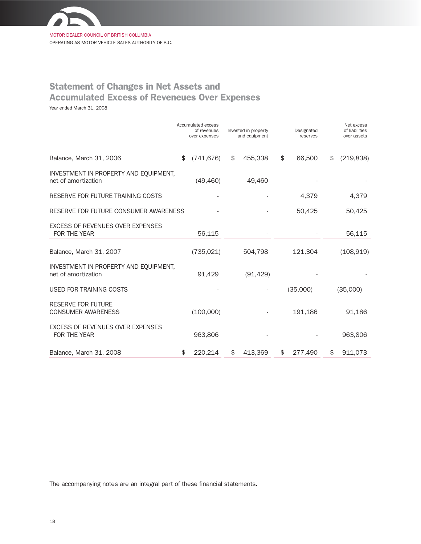

MOTOR DEALER COUNCIL OF BRITISH COLUMBIA OPERATING AS MOTOR VEHICLE SALES AUTHORITY OF B.C.

# Statement of Changes in Net Assets and Accumulated Excess of Reveneues Over Expenses

Year ended March 31, 2008

|                                                              | Accumulated excess<br>of revenues<br>over expenses | Invested in property<br>and equipment | Designated<br>reserves | Net excess<br>of liabilities<br>over assets |
|--------------------------------------------------------------|----------------------------------------------------|---------------------------------------|------------------------|---------------------------------------------|
| Balance, March 31, 2006                                      | \$<br>(741, 676)                                   | \$<br>455,338                         | \$<br>66,500           | \$<br>(219, 838)                            |
| INVESTMENT IN PROPERTY AND EQUIPMENT,<br>net of amortization | (49, 460)                                          | 49,460                                |                        |                                             |
| RESERVE FOR FUTURE TRAINING COSTS                            |                                                    |                                       | 4,379                  | 4,379                                       |
| RESERVE FOR FUTURE CONSUMER AWARENESS                        |                                                    |                                       | 50,425                 | 50,425                                      |
| <b>EXCESS OF REVENUES OVER EXPENSES</b><br>FOR THE YEAR      | 56,115                                             |                                       |                        | 56,115                                      |
| Balance, March 31, 2007                                      | (735, 021)                                         | 504,798                               | 121,304                | (108, 919)                                  |
| INVESTMENT IN PROPERTY AND EQUIPMENT,<br>net of amortization | 91,429                                             | (91, 429)                             |                        |                                             |
| <b>USED FOR TRAINING COSTS</b>                               |                                                    |                                       | (35,000)               | (35,000)                                    |
| <b>RESERVE FOR FUTURE</b><br><b>CONSUMER AWARENESS</b>       | (100,000)                                          |                                       | 191,186                | 91,186                                      |
| EXCESS OF REVENUES OVER EXPENSES<br>FOR THE YEAR             | 963,806                                            |                                       |                        | 963,806                                     |
| Balance, March 31, 2008                                      | \$<br>220,214                                      | \$<br>413,369                         | \$<br>277,490          | \$<br>911,073                               |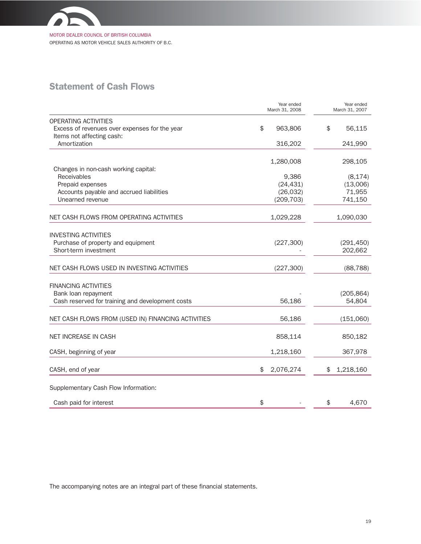

OPERATING AS MOTOR VEHICLE SALES AUTHORITY OF B.C.

# Statement of Cash Flows

|                                                                                                                    | Year ended<br>March 31, 2008        | Year ended<br>March 31, 2007    |
|--------------------------------------------------------------------------------------------------------------------|-------------------------------------|---------------------------------|
| OPERATING ACTIVITIES<br>Excess of revenues over expenses for the year<br>Items not affecting cash:<br>Amortization | $\frac{1}{2}$<br>963,806<br>316,202 | \$<br>56,115<br>241,990         |
| Changes in non-cash working capital:<br>Receivables<br>Prepaid expenses                                            | 1,280,008<br>9,386<br>(24, 431)     | 298,105<br>(8, 174)<br>(13,006) |
| Accounts payable and accrued liabilities<br>Unearned revenue                                                       | (26, 032)<br>(209, 703)             | 71,955<br>741,150               |
| NET CASH FLOWS FROM OPERATING ACTIVITIES                                                                           | 1,029,228                           | 1,090,030                       |
| <b>INVESTING ACTIVITIES</b><br>Purchase of property and equipment<br>Short-term investment                         | (227, 300)                          | (291, 450)<br>202,662           |
| NET CASH FLOWS USED IN INVESTING ACTIVITIES                                                                        | (227, 300)                          | (88, 788)                       |
| <b>FINANCING ACTIVITIES</b><br>Bank loan repayment<br>Cash reserved for training and development costs             | 56,186                              | (205, 864)<br>54,804            |
| NET CASH FLOWS FROM (USED IN) FINANCING ACTIVITIES                                                                 | 56,186                              | (151,060)                       |
| <b>NET INCREASE IN CASH</b>                                                                                        | 858,114                             | 850,182                         |
| CASH, beginning of year                                                                                            | 1,218,160                           | 367,978                         |
| CASH, end of year                                                                                                  | 2,076,274<br>\$                     | 1,218,160<br>\$                 |
| Supplementary Cash Flow Information:                                                                               |                                     |                                 |
| Cash paid for interest                                                                                             | \$                                  | 4,670<br>\$                     |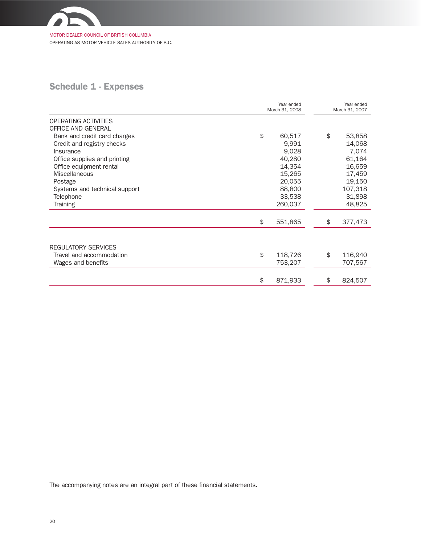

OPERATING AS MOTOR VEHICLE SALES AUTHORITY OF B.C.

# Schedule 1 - Expenses

|                                            | March 31, 2008 | Year ended<br>March 31, 2007 |               |
|--------------------------------------------|----------------|------------------------------|---------------|
| OPERATING ACTIVITIES<br>OFFICE AND GENERAL |                |                              |               |
| Bank and credit card charges               | \$             | 60,517                       | \$<br>53,858  |
| Credit and registry checks                 |                | 9,991                        | 14,068        |
| Insurance                                  |                | 9,028                        | 7,074         |
| Office supplies and printing               |                | 40,280                       | 61,164        |
| Office equipment rental                    |                | 14,354                       | 16,659        |
| <b>Miscellaneous</b>                       |                | 15,265                       | 17,459        |
| Postage                                    |                | 20,055                       | 19,150        |
| Systems and technical support              |                | 88,800                       | 107,318       |
| Telephone                                  |                | 33,538                       | 31,898        |
| <b>Training</b>                            |                | 260,037                      | 48,825        |
|                                            | \$             | 551,865                      | \$<br>377,473 |
| <b>REGULATORY SERVICES</b>                 |                |                              |               |
| Travel and accommodation                   | \$             | 118,726                      | \$<br>116,940 |
| Wages and benefits                         |                | 753,207                      | 707,567       |
|                                            | \$             |                              | \$            |
|                                            |                | 871,933                      | 824,507       |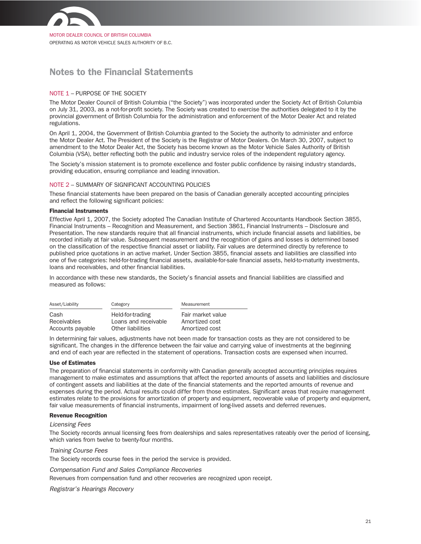

MOTOR DEALER COUNCIL OF BRITISH COLUMBIA OPERATING AS MOTOR VEHICLE SALES AUTHORITY OF B.C.

# Notes to the Financial Statements

# NOTE 1 – PURPOSE OF THE SOCIETY

The Motor Dealer Council of British Columbia ("the Society") was incorporated under the Society Act of British Columbia on July 31, 2003, as a not-for-profit society. The Society was created to exercise the authorities delegated to it by the provincial government of British Columbia for the administration and enforcement of the Motor Dealer Act and related regulations.

On April 1, 2004, the Government of British Columbia granted to the Society the authority to administer and enforce the Motor Dealer Act. The President of the Society is the Registrar of Motor Dealers. On March 30, 2007, subject to amendment to the Motor Dealer Act, the Society has become known as the Motor Vehicle Sales Authority of British Columbia (VSA), better reflecting both the public and industry service roles of the independent regulatory agency.

The Society's mission statement is to promote excellence and foster public confidence by raising industry standards, providing education, ensuring compliance and leading innovation.

# NOTE 2 – SUMMARY OF SIGNIFICANT ACCOUNTING POLICIES

These financial statements have been prepared on the basis of Canadian generally accepted accounting principles and reflect the following significant policies:

## Financial Instruments

Effective April 1, 2007, the Society adopted The Canadian Institute of Chartered Accountants Handbook Section 3855, Financial Instruments – Recognition and Measurement, and Section 3861, Financial Instruments – Disclosure and Presentation. The new standards require that all financial instruments, which include financial assets and liabilities, be recorded initially at fair value. Subsequent measurement and the recognition of gains and losses is determined based on the classification of the respective financial asset or liability. Fair values are determined directly by reference to published price quotations in an active market. Under Section 3855, financial assets and liabilities are classified into one of five categories: held-for-trading financial assets, available-for-sale financial assets, held-to-maturity investments, loans and receivables, and other financial liabilities.

In accordance with these new standards, the Society's financial assets and financial liabilities are classified and measured as follows:

| Asset/Liability  | Category             | Measurement       |
|------------------|----------------------|-------------------|
| Cash             | Held-for-trading     | Fair market value |
| Receivables      | Loans and receivable | Amortized cost    |
| Accounts payable | Other liabilities    | Amortized cost    |

In determining fair values, adjustments have not been made for transaction costs as they are not considered to be significant. The changes in the difference between the fair value and carrying value of investments at the beginning and end of each year are reflected in the statement of operations. Transaction costs are expensed when incurred.

## Use of Estimates

The preparation of financial statements in conformity with Canadian generally accepted accounting principles requires management to make estimates and assumptions that affect the reported amounts of assets and liabilities and disclosure of contingent assets and liabilities at the date of the financial statements and the reported amounts of revenue and expenses during the period. Actual results could differ from those estimates. Significant areas that require management estimates relate to the provisions for amortization of property and equipment, recoverable value of property and equipment, fair value measurements of financial instruments, impairment of long-lived assets and deferred revenues.

# Revenue Recognition

# Licensing Fees

The Society records annual licensing fees from dealerships and sales representatives rateably over the period of licensing, which varies from twelve to twenty-four months.

## Training Course Fees

The Society records course fees in the period the service is provided.

# Compensation Fund and Sales Compliance Recoveries

Revenues from compensation fund and other recoveries are recognized upon receipt.

Registrar's Hearings Recovery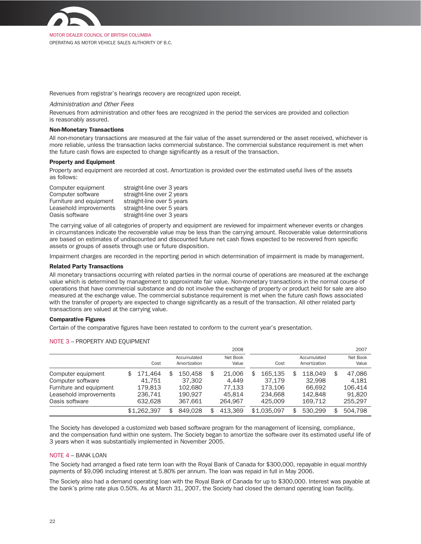

MOTOR DEALER COUNCIL OF BRITISH COLUMBIA OPERATING AS MOTOR VEHICLE SALES AUTHORITY OF B.C.

Revenues from registrar's hearings recovery are recognized upon receipt.

## Administration and Other Fees

Revenues from administration and other fees are recognized in the period the services are provided and collection is reasonably assured.

#### Non-Monetary Transactions

All non-monetary transactions are measured at the fair value of the asset surrendered or the asset received, whichever is more reliable, unless the transaction lacks commercial substance. The commercial substance requirement is met when the future cash flows are expected to change significantly as a result of the transaction.

# Property and Equipment

Property and equipment are recorded at cost. Amortization is provided over the estimated useful lives of the assets as follows:

| Computer equipment      | straight-line over 3 years |
|-------------------------|----------------------------|
| Computer software       | straight-line over 2 years |
| Furniture and equipment | straight-line over 5 years |
| Leasehold improvements  | straight-line over 5 years |
| Oasis software          | straight-line over 3 years |

The carrying value of all categories of property and equipment are reviewed for impairment whenever events or changes in circumstances indicate the recoverable value may be less than the carrying amount. Recoverable value determinations are based on estimates of undiscounted and discounted future net cash flows expected to be recovered from specific assets or groups of assets through use or future disposition.

Impairment charges are recorded in the reporting period in which determination of impairment is made by management.

#### Related Party Transactions

All monetary transactions occurring with related parties in the normal course of operations are measured at the exchange value which is determined by management to approximate fair value. Non-monetary transactions in the normal course of operations that have commercial substance and do not involve the exchange of property or product held for sale are also measured at the exchange value. The commercial substance requirement is met when the future cash flows associated with the transfer of property are expected to change significantly as a result of the transaction. All other related party transactions are valued at the carrying value.

#### Comparative Figures

Certain of the comparative figures have been restated to conform to the current year's presentation.

#### NOTE 3 – PROPERTY AND EQUIPMENT

|                         |               |                             | 2008              |     |             |                             | 2007              |
|-------------------------|---------------|-----------------------------|-------------------|-----|-------------|-----------------------------|-------------------|
|                         | Cost          | Accumulated<br>Amortization | Net Book<br>Value |     | Cost        | Accumulated<br>Amortization | Net Book<br>Value |
| Computer equipment      | \$<br>171.464 | \$<br>150.458               | \$<br>21.006      | \$. | 165.135     | \$<br>118.049               | \$<br>47.086      |
| Computer software       | 41.751        | 37,302                      | 4.449             |     | 37.179      | 32,998                      | 4.181             |
| Furniture and equipment | 179.813       | 102.680                     | 77.133            |     | 173.106     | 66.692                      | 106.414           |
| Leasehold improvements  | 236.741       | 190.927                     | 45.814            |     | 234,668     | 142.848                     | 91.820            |
| Oasis software          | 632.628       | 367.661                     | 264.967           |     | 425,009     | 169.712                     | 255.297           |
|                         | \$1,262,397   | \$<br>849.028               | \$<br>413.369     |     | \$1,035,097 | \$<br>530.299               | \$<br>504.798     |

The Society has developed a customized web based software program for the management of licensing, compliance, and the compensation fund within one system. The Society began to amortize the software over its estimated useful life of 3 years when it was substantially implemented in November 2005.

## NOTE 4 – BANK LOAN

The Society had arranged a fixed rate term loan with the Royal Bank of Canada for \$300,000, repayable in equal monthly payments of \$9,096 including interest at 5.80% per annum. The loan was repaid in full in May 2006.

The Society also had a demand operating loan with the Royal Bank of Canada for up to \$300,000. Interest was payable at the bank's prime rate plus 0.50%. As at March 31, 2007, the Society had closed the demand operating loan facility.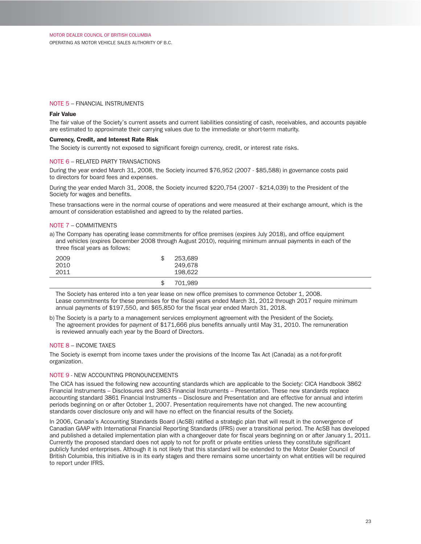# NOTE 5 – FINANCIAL INSTRUMENTS

## Fair Value

The fair value of the Society's current assets and current liabilities consisting of cash, receivables, and accounts payable are estimated to approximate their carrying values due to the immediate or short-term maturity.

## Currency, Credit, and Interest Rate Risk

The Society is currently not exposed to significant foreign currency, credit, or interest rate risks.

#### NOTE 6 – RELATED PARTY TRANSACTIONS

During the year ended March 31, 2008, the Society incurred \$76,952 (2007 - \$85,588) in governance costs paid to directors for board fees and expenses.

During the year ended March 31, 2008, the Society incurred \$220,754 (2007 - \$214,039) to the President of the Society for wages and benefits.

These transactions were in the normal course of operations and were measured at their exchange amount, which is the amount of consideration established and agreed to by the related parties.

## NOTE 7 – COMMITMENTS

a) The Company has operating lease commitments for office premises (expires July 2018), and office equipment and vehicles (expires December 2008 through August 2010), requiring minimum annual payments in each of the three fiscal years as follows:

| 2009<br>2010<br>2011 | 253,689<br>249,678<br>198.622 |
|----------------------|-------------------------------|
|                      | 701.989                       |

The Society has entered into a ten year lease on new office premises to commence October 1, 2008. Lease commitments for these premises for the fiscal years ended March 31, 2012 through 2017 require minimum annual payments of \$197,550, and \$65,850 for the fiscal year ended March 31, 2018.

b) The Society is a party to a management services employment agreement with the President of the Society. The agreement provides for payment of \$171,666 plus benefits annually until May 31, 2010. The remuneration is reviewed annually each year by the Board of Directors.

## NOTE 8 – INCOME TAXES

The Society is exempt from income taxes under the provisions of the Income Tax Act (Canada) as a not-for-profit organization.

## NOTE 9 - NEW ACCOUNTING PRONOUNCEMENTS

The CICA has issued the following new accounting standards which are applicable to the Society: CICA Handbook 3862 Financial Instruments – Disclosures and 3863 Financial Instruments – Presentation. These new standards replace accounting standard 3861 Financial Instruments – Disclosure and Presentation and are effective for annual and interim periods beginning on or after October 1, 2007. Presentation requirements have not changed. The new accounting standards cover disclosure only and will have no effect on the financial results of the Society.

In 2006, Canada's Accounting Standards Board (AcSB) ratified a strategic plan that will result in the convergence of Canadian GAAP with International Financial Reporting Standards (IFRS) over a transitional period. The AcSB has developed and published a detailed implementation plan with a changeover date for fiscal years beginning on or after January 1, 2011. Currently the proposed standard does not apply to not for profit or private entities unless they constitute significant publicly funded enterprises. Although it is not likely that this standard will be extended to the Motor Dealer Council of British Columbia, this initiative is in its early stages and there remains some uncertainty on what entities will be required to report under IFRS.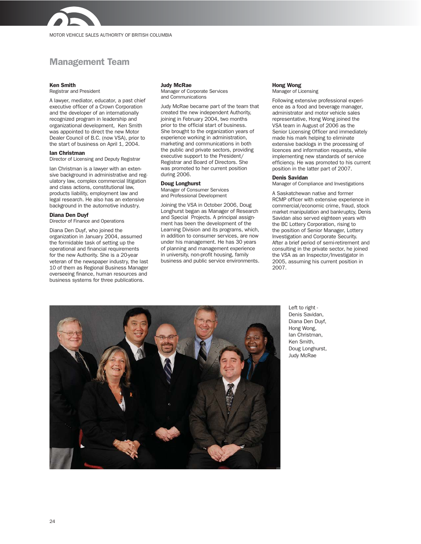

# Management Team

#### Ken Smith

Registrar and President

A lawyer, mediator, educator, a past chief executive officer of a Crown Corporation and the developer of an internationally recognized program in leadership and organizational development, Ken Smith was appointed to direct the new Motor Dealer Council of B.C. (now VSA), prior to the start of business on April 1, 2004.

#### Ian Christman

Director of Licensing and Deputy Registrar

Ian Christman is a lawyer with an extensive background in administrative and regulatory law, complex commercial litigation and class actions, constitutional law, products liability, employment law and legal research. He also has an extensive background in the automotive industry.

#### Diana Den Duyf

Director of Finance and Operations

Diana Den Duyf, who joined the organization in January 2004, assumed the formidable task of setting up the operational and financial requirements for the new Authority. She is a 20-year veteran of the newspaper industry, the last 10 of them as Regional Business Manager overseeing finance, human resources and business systems for three publications.

#### Judy McRae

Manager of Corporate Services and Communications

Judy McRae became part of the team that created the new independent Authority, joining in February 2004, two months prior to the official start of business. She brought to the organization years of experience working in administration, marketing and communications in both the public and private sectors, providing executive support to the President/ Registrar and Board of Directors. She was promoted to her current position during 2006.

#### Doug Longhurst

Manager of Consumer Services and Professional Development

Joining the VSA in October 2006, Doug Longhurst began as Manager of Research and Special Projects. A principal assignment has been the development of the Learning Division and its programs, which, in addition to consumer services, are now under his management. He has 30 years of planning and management experience in university, non-profit housing, family business and public service environments.

#### Hong Wong Manager of Licensing

Following extensive professional experience as a food and beverage manager, administrator and motor vehicle sales representative, Hong Wong joined the VSA team in August of 2006 as the Senior Licensing Officer and immediately made his mark helping to eliminate extensive backlogs in the processing of licences and information requests, while implementing new standards of service efficiency. He was promoted to his current position in the latter part of 2007.

#### Denis Savidan

Manager of Compliance and Investigations

A Saskatchewan native and former RCMP officer with extensive experience in commercial/economic crime, fraud, stock market manipulation and bankruptcy, Denis Savidan also served eighteen years with the BC Lottery Corporation, rising to the position of Senior Manager, Lottery Investigation and Corporate Security. After a brief period of semi-retirement and consulting in the private sector, he joined the VSA as an Inspector/Investigator in 2005, assuming his current position in 2007.



Left to right - Denis Savidan, Diana Den Duyf, Hong Wong, Ian Christman, Ken Smith, Doug Longhurst, Judy McRae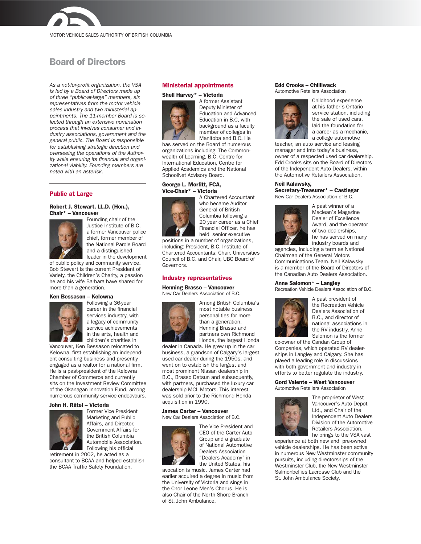

# Board of Directors

As a not-for-profit organization, the VSA is led by a Board of Directors made up of three "public-at-large" members, six representatives from the motor vehicle sales industry and two ministerial appointments. The 11-member Board is selected through an extensive nomination process that involves consumer and industry associations, government and the general public. The Board is responsible for establishing strategic direction and overseeing the operations of the Authority while ensuring its financial and organizational viability. Founding members are noted with an asterisk.

# Public at Large

#### Robert J. Stewart, LL.D. (Hon.), Chair\* – Vancouver



Founding chair of the Justice Institute of B.C, a former Vancouver police chief, former member of the National Parole Board and a distinguished leader in the development

of public policy and community service. Bob Stewart is the current President of Variety, the Children's Charity, a passion he and his wife Barbara have shared for more than a generation.

#### Ken Bessason – Kelowna



Following a 36-year career in the financial services industry, with a legacy of community service achievements in the arts, health and children's charities in

Vancouver, Ken Bessason relocated to Kelowna, first establishing an independent consulting business and presently engaged as a realtor for a national firm. He is a past-president of the Kelowna Chamber of Commerce and currently sits on the Investment Review Committee of the Okanagan Innovation Fund, among numerous community service endeavours.

#### John H. Râtel – Victoria



Former Vice President Marketing and Public Affairs, and Director, Government Affairs for the British Columbia Automobile Association. Following his official

retirement in 2002, he acted as a consultant to BCAA and helped establish the BCAA Traffic Safety Foundation.

#### Ministerial appointments

#### Shell Harvey\* – Victoria



A former Assistant Deputy Minister of Education and Advanced Education in B.C, with background as a faculty member of colleges in Manitoba and B.C. He

has served on the Board of numerous organizations including: The Commonwealth of Learning, B.C. Centre for International Education, Centre for Applied Academics and the National SchoolNet Advisory Board.

#### George L. Morfitt, FCA, Vice-Chair\* – Victoria



A Chartered Accountant who became Auditor General of British Columbia following a 20 year career as a Chief Financial Officer, he has held senior executive

positions in a number of organizations, including: President, B.C. Institute of Chartered Accountants; Chair, Universities Council of B.C. and Chair, UBC Board of Governors.

## Industry representatives

Henning Brasso – Vancouver New Car Dealers Association of B.C.



Among British Columbia's most notable business personalities for more than a generation, Henning Brasso and partners own Richmond Honda, the largest Honda

dealer in Canada. He grew up in the car business, a grandson of Calgary's largest used car dealer during the 1950s, and went on to establish the largest and most prominent Nissan dealership in B.C., Brasso Datsun and subsequently, with partners, purchased the luxury car dealership MCL Motors. This interest was sold prior to the Richmond Honda acquisition in 1990.

James Carter – Vancouver New Car Dealers Association of B.C.



The Vice President and CEO of the Carter Auto Group and a graduate of National Automotive Dealers Association "Dealers Academy" in the United States, his

avocation is music. James Carter had earlier acquired a degree in music from the University of Victoria and sings in the Chor Leone Men's Chorus. He is also Chair of the North Shore Branch of St. John Ambulance.

#### Edd Crooks – Chilliwack Automotive Retailers Association



Childhood experience at his father's Ontario service station, including the sale of used cars, laid the foundation for a career as a mechanic, a college automotive

teacher, an auto service and leasing manager and into today's business, owner of a respected used car dealership. Edd Crooks sits on the Board of Directors of the Independent Auto Dealers, within the Automotive Retailers Association.

# Neil Kalawsky,

Secretary-Treasurer\* – Castlegar New Car Dealers Association of B.C.



A past winner of a Maclean's Magazine Dealer of Excellence Award, and the operator of two dealerships, he has served on many industry boards and

agencies, including a term as National Chairman of the General Motors Communications Team. Neil Kalawsky is a member of the Board of Directors of the Canadian Auto Dealers Association.

#### Anne Salomon\* – Langley

Recreation Vehicle Dealers Association of B.C.



A past president of the Recreation Vehicle Dealers Association of B.C., and director of national associations in the RV industry, Anne Salomon is the former

co-owner of the Candan Group of Companies, which operated RV dealerships in Langley and Calgary. She has played a leading role in discussions with both government and industry in efforts to better regulate the industry.

#### Gord Valente – West Vancouver Automotive Retailers Association

The proprietor of West Vancouver's Auto Depot Ltd., and Chair of the Independent Auto Dealers Division of the Automotive Retailers Association, he brings to the VSA vast

experience at both new and pre-owned vehicle dealerships. He has been active in numerous New Westminster community pursuits, including directorships of the Westminster Club, the New Westminster Salmonbellies Lacrosse Club and the St. John Ambulance Society.